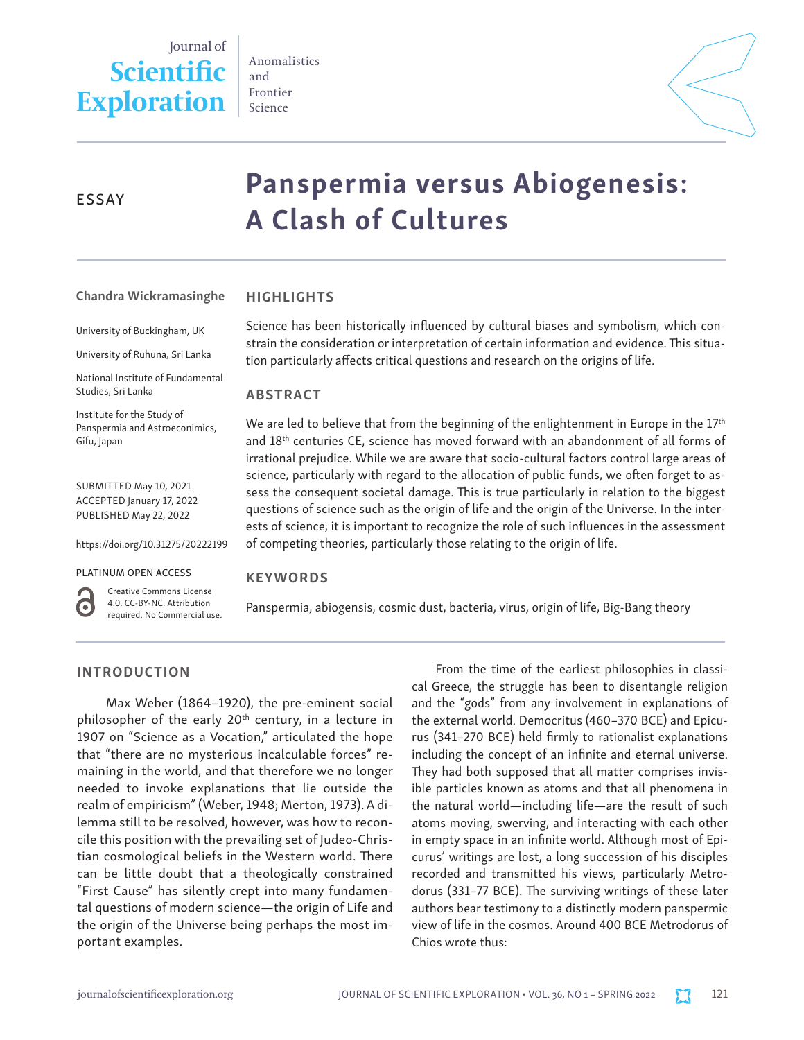Journal of **Scientific Exploration** Anomalistics and Frontier Science



# ESSAY

# Panspermia versus Abiogenesis: A Clash of Cultures

#### HIGHLIGHTS Chandra Wickramasinghe

University of Buckingham, UK

University of Ruhuna, Sri Lanka

National Institute of Fundamental Studies, Sri Lanka

Institute for the Study of Panspermia and Astroeconimics, Gifu, Japan

SUBMITTED May 10, 2021 ACCEPTED January 17, 2022 PUBLISHED May 22, 2022

https://doi.org/10.31275/20222199

#### PLATINUM OPEN ACCESS



Creative Commons License 4.0. CC-BY-NC. Attribution required. No Commercial use. Science has been historically influenced by cultural biases and symbolism, which constrain the consideration or interpretation of certain information and evidence. This situation particularly affects critical questions and research on the origins of life.

#### ABSTRACT

We are led to believe that from the beginning of the enlightenment in Europe in the  $17<sup>th</sup>$ and 18th centuries CE, science has moved forward with an abandonment of all forms of irrational prejudice. While we are aware that socio-cultural factors control large areas of science, particularly with regard to the allocation of public funds, we often forget to assess the consequent societal damage. This is true particularly in relation to the biggest questions of science such as the origin of life and the origin of the Universe. In the interests of science, it is important to recognize the role of such influences in the assessment of competing theories, particularly those relating to the origin of life.

#### **KEYWORDS**

Panspermia, abiogensis, cosmic dust, bacteria, virus, origin of life, Big-Bang theory

# INTRODUCTION

Max Weber (1864–1920), the pre-eminent social philosopher of the early 20<sup>th</sup> century, in a lecture in 1907 on "Science as a Vocation," articulated the hope that "there are no mysterious incalculable forces" remaining in the world, and that therefore we no longer needed to invoke explanations that lie outside the realm of empiricism" (Weber, 1948; Merton, 1973). A dilemma still to be resolved, however, was how to reconcile this position with the prevailing set of Judeo-Christian cosmological beliefs in the Western world. There can be little doubt that a theologically constrained "First Cause" has silently crept into many fundamental questions of modern science—the origin of Life and the origin of the Universe being perhaps the most important examples.

From the time of the earliest philosophies in classical Greece, the struggle has been to disentangle religion and the "gods" from any involvement in explanations of the external world. Democritus (460–370 BCE) and Epicurus (341–270 BCE) held firmly to rationalist explanations including the concept of an infinite and eternal universe. They had both supposed that all matter comprises invisible particles known as atoms and that all phenomena in the natural world—including life—are the result of such atoms moving, swerving, and interacting with each other in empty space in an infinite world. Although most of Epicurus' writings are lost, a long succession of his disciples recorded and transmitted his views, particularly Metrodorus (331–77 BCE). The surviving writings of these later authors bear testimony to a distinctly modern panspermic view of life in the cosmos. Around 400 BCE Metrodorus of Chios wrote thus: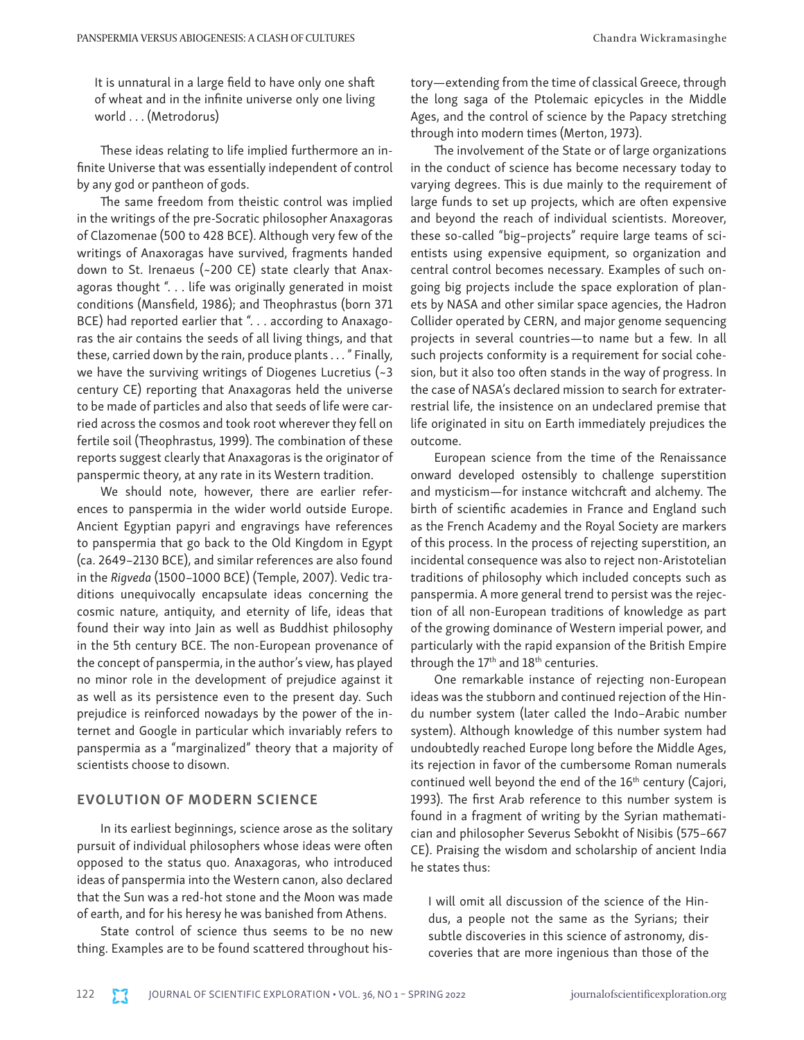It is unnatural in a large field to have only one shaft of wheat and in the infinite universe only one living world . . . (Metrodorus)

These ideas relating to life implied furthermore an infinite Universe that was essentially independent of control by any god or pantheon of gods.

The same freedom from theistic control was implied in the writings of the pre-Socratic philosopher Anaxagoras of Clazomenae (500 to 428 BCE). Although very few of the writings of Anaxoragas have survived, fragments handed down to St. Irenaeus (~200 CE) state clearly that Anaxagoras thought ". . . life was originally generated in moist conditions (Mansfield, 1986); and Theophrastus (born 371 BCE) had reported earlier that ". . . according to Anaxagoras the air contains the seeds of all living things, and that these, carried down by the rain, produce plants . . . " Finally, we have the surviving writings of Diogenes Lucretius (~3 century CE) reporting that Anaxagoras held the universe to be made of particles and also that seeds of life were carried across the cosmos and took root wherever they fell on fertile soil (Theophrastus, 1999). The combination of these reports suggest clearly that Anaxagoras is the originator of panspermic theory, at any rate in its Western tradition.

We should note, however, there are earlier references to panspermia in the wider world outside Europe. Ancient Egyptian papyri and engravings have references to panspermia that go back to the Old Kingdom in Egypt (ca. 2649–2130 BCE), and similar references are also found in the *Rigveda* (1500–1000 BCE) (Temple, 2007). Vedic traditions unequivocally encapsulate ideas concerning the cosmic nature, antiquity, and eternity of life, ideas that found their way into Jain as well as Buddhist philosophy in the 5th century BCE. The non-European provenance of the concept of panspermia, in the author's view, has played no minor role in the development of prejudice against it as well as its persistence even to the present day. Such prejudice is reinforced nowadays by the power of the internet and Google in particular which invariably refers to panspermia as a "marginalized" theory that a majority of scientists choose to disown.

#### EVOLUTION OF MODERN SCIENCE

In its earliest beginnings, science arose as the solitary pursuit of individual philosophers whose ideas were often opposed to the status quo. Anaxagoras, who introduced ideas of panspermia into the Western canon, also declared that the Sun was a red-hot stone and the Moon was made of earth, and for his heresy he was banished from Athens.

State control of science thus seems to be no new thing. Examples are to be found scattered throughout history—extending from the time of classical Greece, through the long saga of the Ptolemaic epicycles in the Middle Ages, and the control of science by the Papacy stretching through into modern times (Merton, 1973).

The involvement of the State or of large organizations in the conduct of science has become necessary today to varying degrees. This is due mainly to the requirement of large funds to set up projects, which are often expensive and beyond the reach of individual scientists. Moreover, these so-called "big–projects" require large teams of scientists using expensive equipment, so organization and central control becomes necessary. Examples of such ongoing big projects include the space exploration of planets by NASA and other similar space agencies, the Hadron Collider operated by CERN, and major genome sequencing projects in several countries—to name but a few. In all such projects conformity is a requirement for social cohesion, but it also too often stands in the way of progress. In the case of NASA's declared mission to search for extraterrestrial life, the insistence on an undeclared premise that life originated in situ on Earth immediately prejudices the outcome.

European science from the time of the Renaissance onward developed ostensibly to challenge superstition and mysticism—for instance witchcraft and alchemy. The birth of scientific academies in France and England such as the French Academy and the Royal Society are markers of this process. In the process of rejecting superstition, an incidental consequence was also to reject non-Aristotelian traditions of philosophy which included concepts such as panspermia. A more general trend to persist was the rejection of all non-European traditions of knowledge as part of the growing dominance of Western imperial power, and particularly with the rapid expansion of the British Empire through the  $17<sup>th</sup>$  and  $18<sup>th</sup>$  centuries.

One remarkable instance of rejecting non-European ideas was the stubborn and continued rejection of the Hindu number system (later called the Indo–Arabic number system). Although knowledge of this number system had undoubtedly reached Europe long before the Middle Ages, its rejection in favor of the cumbersome Roman numerals continued well beyond the end of the 16th century (Cajori, 1993). The first Arab reference to this number system is found in a fragment of writing by the Syrian mathematician and philosopher Severus Sebokht of Nisibis (575–667 CE). Praising the wisdom and scholarship of ancient India he states thus:

I will omit all discussion of the science of the Hindus, a people not the same as the Syrians; their subtle discoveries in this science of astronomy, discoveries that are more ingenious than those of the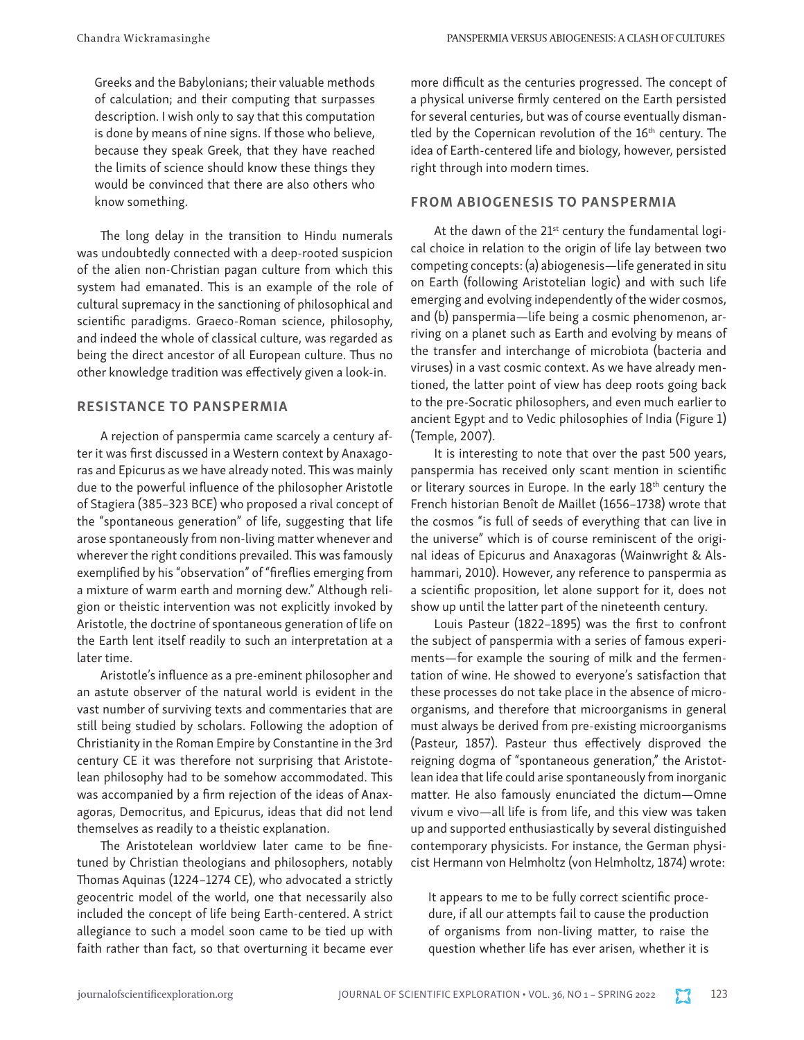Greeks and the Babylonians; their valuable methods of calculation; and their computing that surpasses description. I wish only to say that this computation is done by means of nine signs. If those who believe, because they speak Greek, that they have reached the limits of science should know these things they would be convinced that there are also others who know something.

The long delay in the transition to Hindu numerals was undoubtedly connected with a deep-rooted suspicion of the alien non-Christian pagan culture from which this system had emanated. This is an example of the role of cultural supremacy in the sanctioning of philosophical and scientific paradigms. Graeco-Roman science, philosophy, and indeed the whole of classical culture, was regarded as being the direct ancestor of all European culture. Thus no other knowledge tradition was effectively given a look-in.

#### RESISTANCE TO PANSPERMIA

A rejection of panspermia came scarcely a century after it was first discussed in a Western context by Anaxagoras and Epicurus as we have already noted. This was mainly due to the powerful influence of the philosopher Aristotle of Stagiera (385–323 BCE) who proposed a rival concept of the "spontaneous generation" of life, suggesting that life arose spontaneously from non-living matter whenever and wherever the right conditions prevailed. This was famously exemplified by his "observation" of "fireflies emerging from a mixture of warm earth and morning dew." Although religion or theistic intervention was not explicitly invoked by Aristotle, the doctrine of spontaneous generation of life on the Earth lent itself readily to such an interpretation at a later time.

Aristotle's influence as a pre-eminent philosopher and an astute observer of the natural world is evident in the vast number of surviving texts and commentaries that are still being studied by scholars. Following the adoption of Christianity in the Roman Empire by Constantine in the 3rd century CE it was therefore not surprising that Aristotelean philosophy had to be somehow accommodated. This was accompanied by a firm rejection of the ideas of Anaxagoras, Democritus, and Epicurus, ideas that did not lend themselves as readily to a theistic explanation.

The Aristotelean worldview later came to be finetuned by Christian theologians and philosophers, notably Thomas Aquinas (1224–1274 CE), who advocated a strictly geocentric model of the world, one that necessarily also included the concept of life being Earth-centered. A strict allegiance to such a model soon came to be tied up with faith rather than fact, so that overturning it became ever more difficult as the centuries progressed. The concept of a physical universe firmly centered on the Earth persisted for several centuries, but was of course eventually dismantled by the Copernican revolution of the 16<sup>th</sup> century. The idea of Earth-centered life and biology, however, persisted right through into modern times.

#### FROM ABIOGENESIS TO PANSPERMIA

At the dawn of the 21<sup>st</sup> century the fundamental logical choice in relation to the origin of life lay between two competing concepts: (a) abiogenesis—life generated in situ on Earth (following Aristotelian logic) and with such life emerging and evolving independently of the wider cosmos, and (b) panspermia—life being a cosmic phenomenon, arriving on a planet such as Earth and evolving by means of the transfer and interchange of microbiota (bacteria and viruses) in a vast cosmic context. As we have already mentioned, the latter point of view has deep roots going back to the pre-Socratic philosophers, and even much earlier to ancient Egypt and to Vedic philosophies of India (Figure 1) (Temple, 2007).

It is interesting to note that over the past 500 years, panspermia has received only scant mention in scientific or literary sources in Europe. In the early 18<sup>th</sup> century the French historian Benoît de Maillet (1656–1738) wrote that the cosmos "is full of seeds of everything that can live in the universe" which is of course reminiscent of the original ideas of Epicurus and Anaxagoras (Wainwright & Alshammari, 2010). However, any reference to panspermia as a scientific proposition, let alone support for it, does not show up until the latter part of the nineteenth century.

Louis Pasteur (1822–1895) was the first to confront the subject of panspermia with a series of famous experiments—for example the souring of milk and the fermentation of wine. He showed to everyone's satisfaction that these processes do not take place in the absence of microorganisms, and therefore that microorganisms in general must always be derived from pre-existing microorganisms (Pasteur, 1857). Pasteur thus effectively disproved the reigning dogma of "spontaneous generation," the Aristotlean idea that life could arise spontaneously from inorganic matter. He also famously enunciated the dictum—Omne vivum e vivo—all life is from life, and this view was taken up and supported enthusiastically by several distinguished contemporary physicists. For instance, the German physicist Hermann von Helmholtz (von Helmholtz, 1874) wrote:

It appears to me to be fully correct scientific procedure, if all our attempts fail to cause the production of organisms from non-living matter, to raise the question whether life has ever arisen, whether it is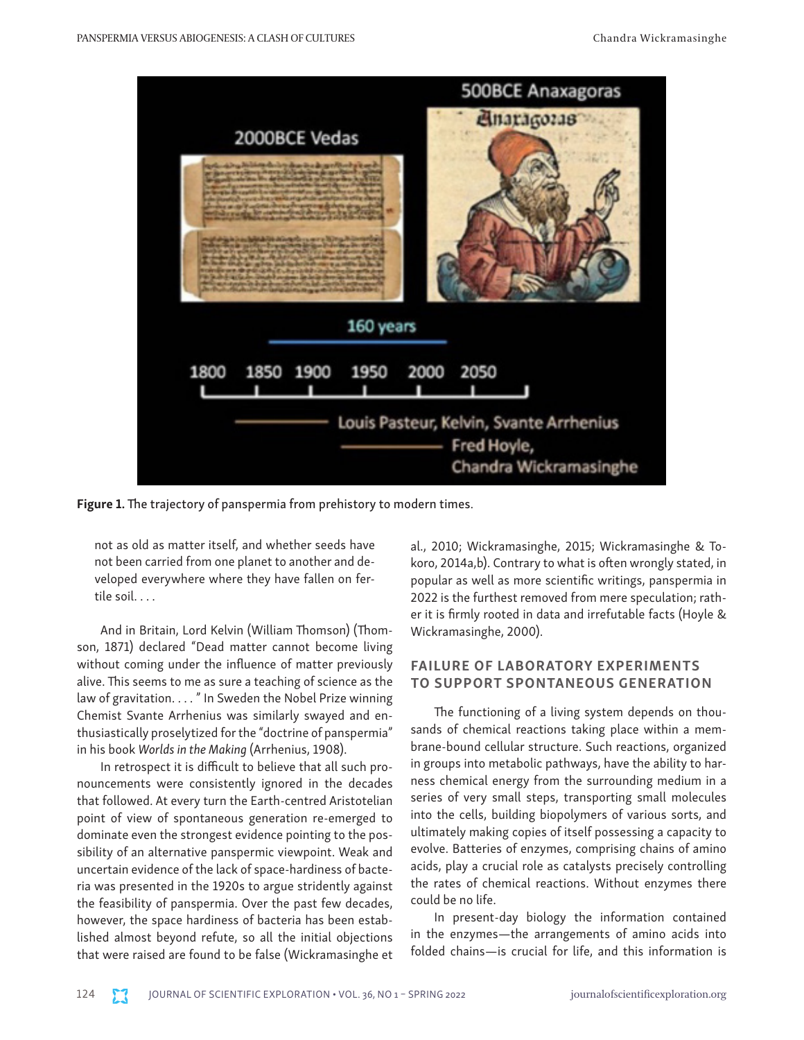

Figure 1. The trajectory of panspermia from prehistory to modern times.

not as old as matter itself, and whether seeds have not been carried from one planet to another and developed everywhere where they have fallen on fertile soil. . . .

And in Britain, Lord Kelvin (William Thomson) (Thomson, 1871) declared "Dead matter cannot become living without coming under the influence of matter previously alive. This seems to me as sure a teaching of science as the law of gravitation. . . . " In Sweden the Nobel Prize winning Chemist Svante Arrhenius was similarly swayed and enthusiastically proselytized for the "doctrine of panspermia" in his book *Worlds in the Making* (Arrhenius, 1908).

In retrospect it is difficult to believe that all such pronouncements were consistently ignored in the decades that followed. At every turn the Earth-centred Aristotelian point of view of spontaneous generation re-emerged to dominate even the strongest evidence pointing to the possibility of an alternative panspermic viewpoint. Weak and uncertain evidence of the lack of space-hardiness of bacteria was presented in the 1920s to argue stridently against the feasibility of panspermia. Over the past few decades, however, the space hardiness of bacteria has been established almost beyond refute, so all the initial objections that were raised are found to be false (Wickramasinghe et al., 2010; Wickramasinghe, 2015; Wickramasinghe & Tokoro, 2014a,b). Contrary to what is often wrongly stated, in popular as well as more scientific writings, panspermia in 2022 is the furthest removed from mere speculation; rather it is firmly rooted in data and irrefutable facts (Hoyle & Wickramasinghe, 2000).

## FAILURE OF LABORATORY EXPERIMENTS TO SUPPORT SPONTANEOUS GENERATION

The functioning of a living system depends on thousands of chemical reactions taking place within a membrane-bound cellular structure. Such reactions, organized in groups into metabolic pathways, have the ability to harness chemical energy from the surrounding medium in a series of very small steps, transporting small molecules into the cells, building biopolymers of various sorts, and ultimately making copies of itself possessing a capacity to evolve. Batteries of enzymes, comprising chains of amino acids, play a crucial role as catalysts precisely controlling the rates of chemical reactions. Without enzymes there could be no life.

In present-day biology the information contained in the enzymes—the arrangements of amino acids into folded chains—is crucial for life, and this information is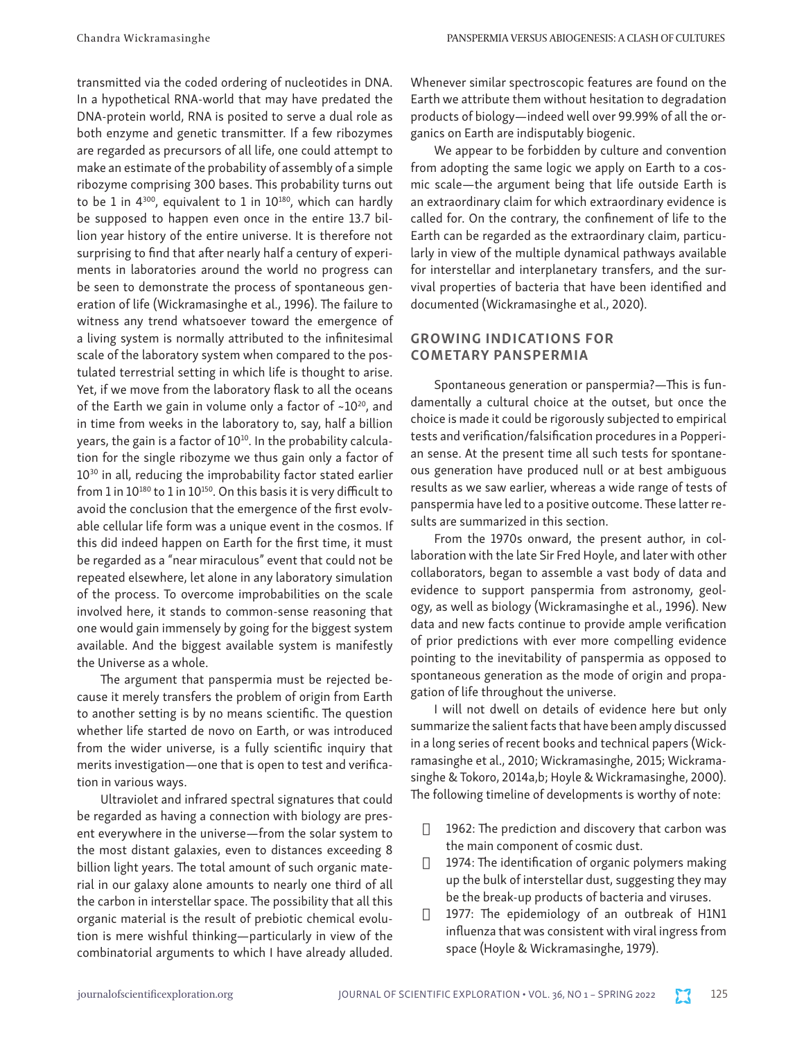transmitted via the coded ordering of nucleotides in DNA. In a hypothetical RNA-world that may have predated the DNA-protein world, RNA is posited to serve a dual role as both enzyme and genetic transmitter. If a few ribozymes are regarded as precursors of all life, one could attempt to make an estimate of the probability of assembly of a simple ribozyme comprising 300 bases. This probability turns out to be 1 in  $4^{300}$ , equivalent to 1 in  $10^{180}$ , which can hardly be supposed to happen even once in the entire 13.7 billion year history of the entire universe. It is therefore not surprising to find that after nearly half a century of experiments in laboratories around the world no progress can be seen to demonstrate the process of spontaneous generation of life (Wickramasinghe et al., 1996). The failure to witness any trend whatsoever toward the emergence of a living system is normally attributed to the infinitesimal scale of the laboratory system when compared to the postulated terrestrial setting in which life is thought to arise. Yet, if we move from the laboratory flask to all the oceans of the Earth we gain in volume only a factor of  $\sim 10^{20}$ , and in time from weeks in the laboratory to, say, half a billion years, the gain is a factor of 10<sup>10</sup>. In the probability calculation for the single ribozyme we thus gain only a factor of 10<sup>30</sup> in all, reducing the improbability factor stated earlier from 1 in 10<sup>180</sup> to 1 in 10<sup>150</sup>. On this basis it is very difficult to avoid the conclusion that the emergence of the first evolvable cellular life form was a unique event in the cosmos. If this did indeed happen on Earth for the first time, it must be regarded as a "near miraculous" event that could not be repeated elsewhere, let alone in any laboratory simulation of the process. To overcome improbabilities on the scale involved here, it stands to common-sense reasoning that one would gain immensely by going for the biggest system available. And the biggest available system is manifestly the Universe as a whole.

The argument that panspermia must be rejected because it merely transfers the problem of origin from Earth to another setting is by no means scientific. The question whether life started de novo on Earth, or was introduced from the wider universe, is a fully scientific inquiry that merits investigation—one that is open to test and verification in various ways.

Ultraviolet and infrared spectral signatures that could be regarded as having a connection with biology are present everywhere in the universe—from the solar system to the most distant galaxies, even to distances exceeding 8 billion light years. The total amount of such organic material in our galaxy alone amounts to nearly one third of all the carbon in interstellar space. The possibility that all this organic material is the result of prebiotic chemical evolution is mere wishful thinking—particularly in view of the combinatorial arguments to which I have already alluded.

Whenever similar spectroscopic features are found on the Earth we attribute them without hesitation to degradation products of biology—indeed well over 99.99% of all the organics on Earth are indisputably biogenic.

We appear to be forbidden by culture and convention from adopting the same logic we apply on Earth to a cosmic scale—the argument being that life outside Earth is an extraordinary claim for which extraordinary evidence is called for. On the contrary, the confinement of life to the Earth can be regarded as the extraordinary claim, particularly in view of the multiple dynamical pathways available for interstellar and interplanetary transfers, and the survival properties of bacteria that have been identified and documented (Wickramasinghe et al., 2020).

# GROWING INDICATIONS FOR COMETARY PANSPERMIA

Spontaneous generation or panspermia?—This is fundamentally a cultural choice at the outset, but once the choice is made it could be rigorously subjected to empirical tests and verification/falsification procedures in a Popperian sense. At the present time all such tests for spontaneous generation have produced null or at best ambiguous results as we saw earlier, whereas a wide range of tests of panspermia have led to a positive outcome. These latter results are summarized in this section.

From the 1970s onward, the present author, in collaboration with the late Sir Fred Hoyle, and later with other collaborators, began to assemble a vast body of data and evidence to support panspermia from astronomy, geology, as well as biology (Wickramasinghe et al., 1996). New data and new facts continue to provide ample verification of prior predictions with ever more compelling evidence pointing to the inevitability of panspermia as opposed to spontaneous generation as the mode of origin and propagation of life throughout the universe.

I will not dwell on details of evidence here but only summarize the salient facts that have been amply discussed in a long series of recent books and technical papers (Wickramasinghe et al., 2010; Wickramasinghe, 2015; Wickramasinghe & Tokoro, 2014a,b; Hoyle & Wickramasinghe, 2000). The following timeline of developments is worthy of note:

- $\Box$  1962: The prediction and discovery that carbon was the main component of cosmic dust.
- $\Box$  1974: The identification of organic polymers making up the bulk of interstellar dust, suggesting they may be the break-up products of bacteria and viruses.
- <sup>1977</sup>: The epidemiology of an outbreak of H1N1 influenza that was consistent with viral ingress from space (Hoyle & Wickramasinghe, 1979).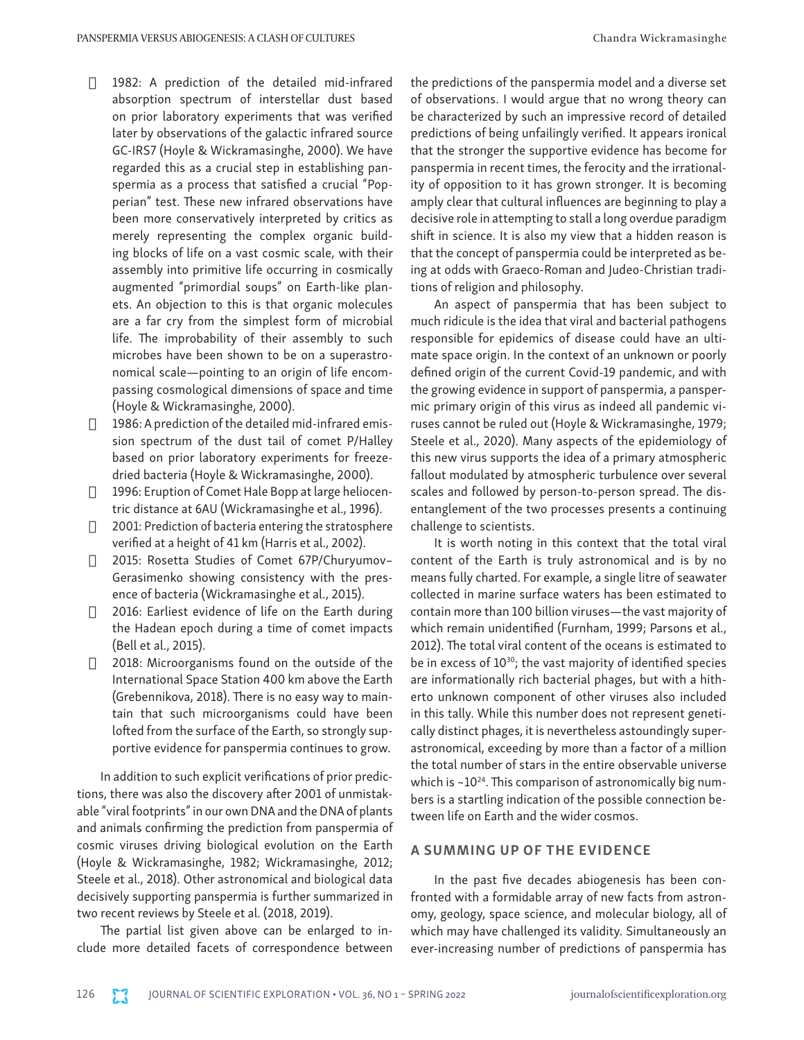- $\Box$  1982: A prediction of the detailed mid-infrared absorption spectrum of interstellar dust based on prior laboratory experiments that was verified later by observations of the galactic infrared source GC-IRS7 (Hoyle & Wickramasinghe, 2000). We have regarded this as a crucial step in establishing panspermia as a process that satisfied a crucial "Popperian" test. These new infrared observations have been more conservatively interpreted by critics as merely representing the complex organic building blocks of life on a vast cosmic scale, with their assembly into primitive life occurring in cosmically augmented "primordial soups" on Earth-like planets. An objection to this is that organic molecules are a far cry from the simplest form of microbial life. The improbability of their assembly to such microbes have been shown to be on a superastronomical scale—pointing to an origin of life encompassing cosmological dimensions of space and time (Hoyle & Wickramasinghe, 2000).
- $\Box$  1986: A prediction of the detailed mid-infrared emission spectrum of the dust tail of comet P/Halley based on prior laboratory experiments for freezedried bacteria (Hoyle & Wickramasinghe, 2000).
- $\Box$  1996: Eruption of Comet Hale Bopp at large heliocentric distance at 6AU (Wickramasinghe et al., 1996).
- $\Box$  2001: Prediction of bacteria entering the stratosphere verified at a height of 41 km (Harris et al., 2002).
- □ 2015: Rosetta Studies of Comet 67P/Churyumov-Gerasimenko showing consistency with the presence of bacteria (Wickramasinghe et al., 2015).
- $\Box$  2016: Earliest evidence of life on the Earth during the Hadean epoch during a time of comet impacts (Bell et al., 2015).
- $\Box$  2018: Microorganisms found on the outside of the International Space Station 400 km above the Earth (Grebennikova, 2018). There is no easy way to maintain that such microorganisms could have been lofted from the surface of the Earth, so strongly supportive evidence for panspermia continues to grow.

In addition to such explicit verifications of prior predictions, there was also the discovery after 2001 of unmistakable "viral footprints" in our own DNA and the DNA of plants and animals confirming the prediction from panspermia of cosmic viruses driving biological evolution on the Earth (Hoyle & Wickramasinghe, 1982; Wickramasinghe, 2012; Steele et al., 2018). Other astronomical and biological data decisively supporting panspermia is further summarized in two recent reviews by Steele et al. (2018, 2019).

The partial list given above can be enlarged to include more detailed facets of correspondence between the predictions of the panspermia model and a diverse set of observations. I would argue that no wrong theory can be characterized by such an impressive record of detailed predictions of being unfailingly verified. It appears ironical that the stronger the supportive evidence has become for panspermia in recent times, the ferocity and the irrationality of opposition to it has grown stronger. It is becoming amply clear that cultural influences are beginning to play a decisive role in attempting to stall a long overdue paradigm shift in science. It is also my view that a hidden reason is that the concept of panspermia could be interpreted as being at odds with Graeco-Roman and Judeo-Christian traditions of religion and philosophy.

An aspect of panspermia that has been subject to much ridicule is the idea that viral and bacterial pathogens responsible for epidemics of disease could have an ultimate space origin. In the context of an unknown or poorly defined origin of the current Covid-19 pandemic, and with the growing evidence in support of panspermia, a panspermic primary origin of this virus as indeed all pandemic viruses cannot be ruled out (Hoyle & Wickramasinghe, 1979; Steele et al., 2020). Many aspects of the epidemiology of this new virus supports the idea of a primary atmospheric fallout modulated by atmospheric turbulence over several scales and followed by person-to-person spread. The disentanglement of the two processes presents a continuing challenge to scientists.

It is worth noting in this context that the total viral content of the Earth is truly astronomical and is by no means fully charted. For example, a single litre of seawater collected in marine surface waters has been estimated to contain more than 100 billion viruses—the vast majority of which remain unidentified (Furnham, 1999; Parsons et al., 2012). The total viral content of the oceans is estimated to be in excess of  $10^{30}$ ; the vast majority of identified species are informationally rich bacterial phages, but with a hitherto unknown component of other viruses also included in this tally. While this number does not represent genetically distinct phages, it is nevertheless astoundingly superastronomical, exceeding by more than a factor of a million the total number of stars in the entire observable universe which is  $\sim 10^{24}$ . This comparison of astronomically big numbers is a startling indication of the possible connection between life on Earth and the wider cosmos.

### A SUMMING UP OF THE EVIDENCE

In the past five decades abiogenesis has been confronted with a formidable array of new facts from astronomy, geology, space science, and molecular biology, all of which may have challenged its validity. Simultaneously an ever-increasing number of predictions of panspermia has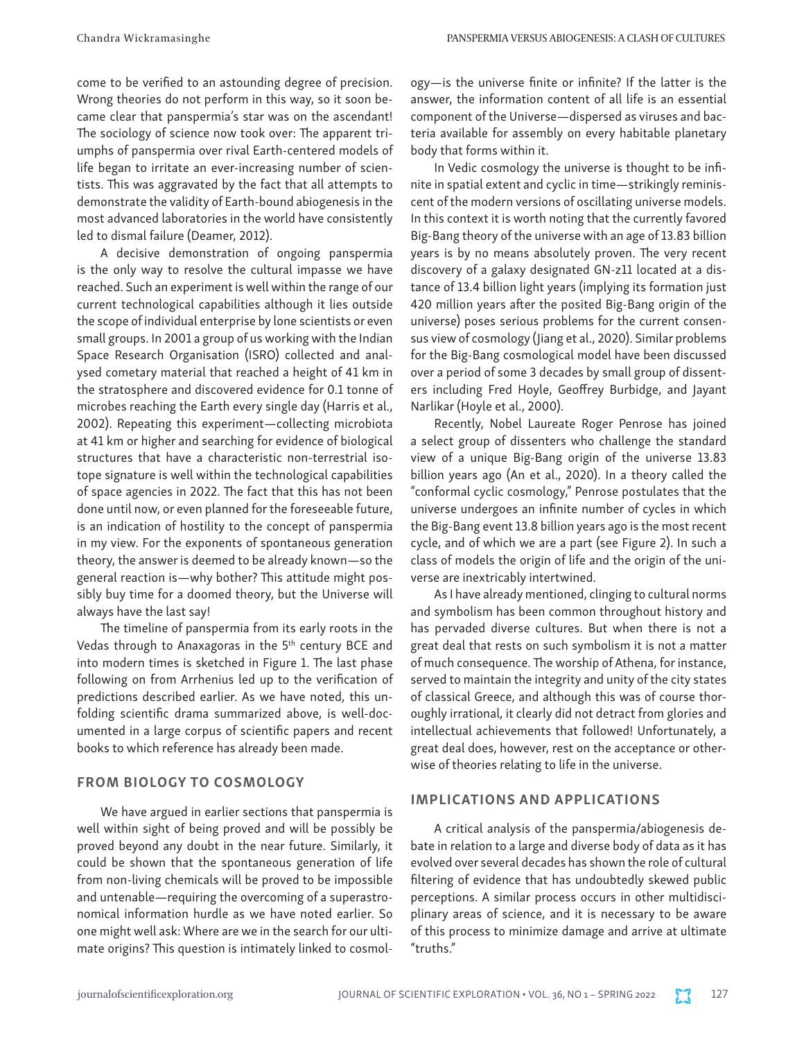come to be verified to an astounding degree of precision. Wrong theories do not perform in this way, so it soon became clear that panspermia's star was on the ascendant! The sociology of science now took over: The apparent triumphs of panspermia over rival Earth-centered models of life began to irritate an ever-increasing number of scientists. This was aggravated by the fact that all attempts to demonstrate the validity of Earth-bound abiogenesis in the most advanced laboratories in the world have consistently led to dismal failure (Deamer, 2012).

A decisive demonstration of ongoing panspermia is the only way to resolve the cultural impasse we have reached. Such an experiment is well within the range of our current technological capabilities although it lies outside the scope of individual enterprise by lone scientists or even small groups. In 2001 a group of us working with the Indian Space Research Organisation (ISRO) collected and analysed cometary material that reached a height of 41 km in the stratosphere and discovered evidence for 0.1 tonne of microbes reaching the Earth every single day (Harris et al., 2002). Repeating this experiment—collecting microbiota at 41 km or higher and searching for evidence of biological structures that have a characteristic non-terrestrial isotope signature is well within the technological capabilities of space agencies in 2022. The fact that this has not been done until now, or even planned for the foreseeable future, is an indication of hostility to the concept of panspermia in my view. For the exponents of spontaneous generation theory, the answer is deemed to be already known—so the general reaction is—why bother? This attitude might possibly buy time for a doomed theory, but the Universe will always have the last say!

The timeline of panspermia from its early roots in the Vedas through to Anaxagoras in the 5<sup>th</sup> century BCE and into modern times is sketched in Figure 1. The last phase following on from Arrhenius led up to the verification of predictions described earlier. As we have noted, this unfolding scientific drama summarized above, is well-documented in a large corpus of scientific papers and recent books to which reference has already been made.

#### FROM BIOLOGY TO COSMOLOGY

We have argued in earlier sections that panspermia is well within sight of being proved and will be possibly be proved beyond any doubt in the near future. Similarly, it could be shown that the spontaneous generation of life from non-living chemicals will be proved to be impossible and untenable—requiring the overcoming of a superastronomical information hurdle as we have noted earlier. So one might well ask: Where are we in the search for our ultimate origins? This question is intimately linked to cosmology—is the universe finite or infinite? If the latter is the answer, the information content of all life is an essential component of the Universe—dispersed as viruses and bacteria available for assembly on every habitable planetary body that forms within it.

In Vedic cosmology the universe is thought to be infinite in spatial extent and cyclic in time—strikingly reminiscent of the modern versions of oscillating universe models. In this context it is worth noting that the currently favored Big-Bang theory of the universe with an age of 13.83 billion years is by no means absolutely proven. The very recent discovery of a galaxy designated GN-z11 located at a distance of 13.4 billion light years (implying its formation just 420 million years after the posited Big-Bang origin of the universe) poses serious problems for the current consensus view of cosmology (Jiang et al., 2020). Similar problems for the Big-Bang cosmological model have been discussed over a period of some 3 decades by small group of dissenters including Fred Hoyle, Geoffrey Burbidge, and Jayant Narlikar (Hoyle et al., 2000).

Recently, Nobel Laureate Roger Penrose has joined a select group of dissenters who challenge the standard view of a unique Big-Bang origin of the universe 13.83 billion years ago (An et al., 2020). In a theory called the "conformal cyclic cosmology," Penrose postulates that the universe undergoes an infinite number of cycles in which the Big-Bang event 13.8 billion years ago is the most recent cycle, and of which we are a part (see Figure 2). In such a class of models the origin of life and the origin of the universe are inextricably intertwined.

As I have already mentioned, clinging to cultural norms and symbolism has been common throughout history and has pervaded diverse cultures. But when there is not a great deal that rests on such symbolism it is not a matter of much consequence. The worship of Athena, for instance, served to maintain the integrity and unity of the city states of classical Greece, and although this was of course thoroughly irrational, it clearly did not detract from glories and intellectual achievements that followed! Unfortunately, a great deal does, however, rest on the acceptance or otherwise of theories relating to life in the universe.

#### IMPLICATIONS AND APPLICATIONS

A critical analysis of the panspermia/abiogenesis debate in relation to a large and diverse body of data as it has evolved over several decades has shown the role of cultural filtering of evidence that has undoubtedly skewed public perceptions. A similar process occurs in other multidisciplinary areas of science, and it is necessary to be aware of this process to minimize damage and arrive at ultimate "truths."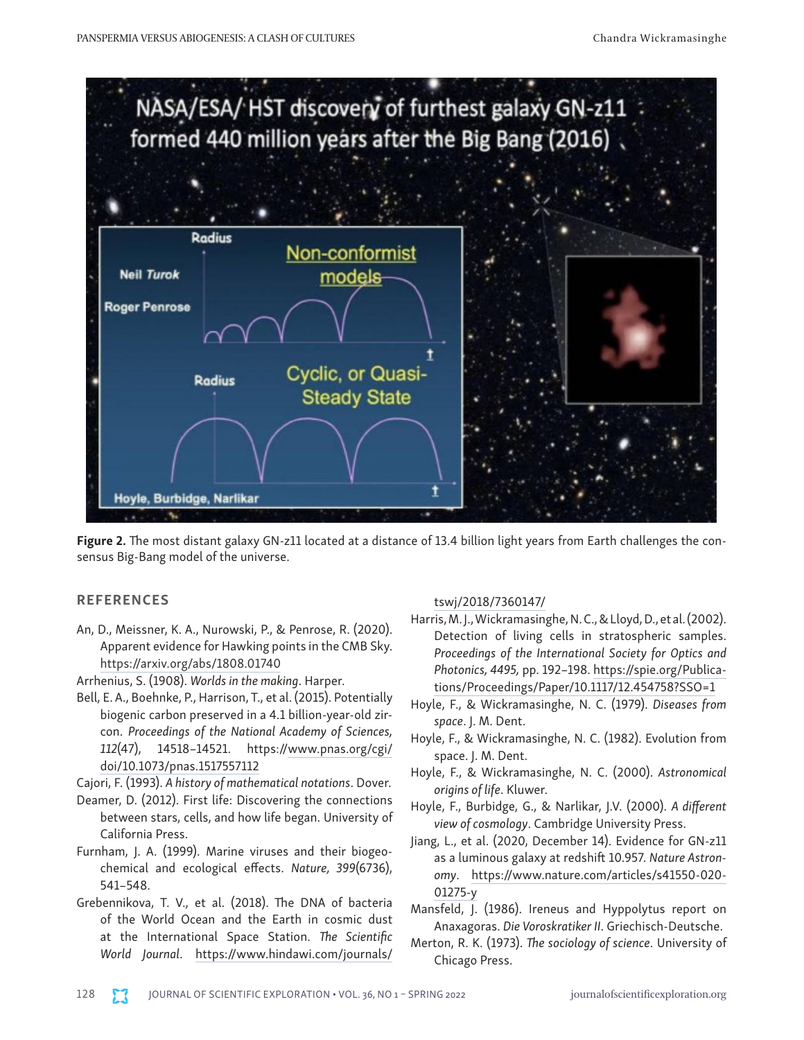

Figure 2. The most distant galaxy GN-z11 located at a distance of 13.4 billion light years from Earth challenges the consensus Big-Bang model of the universe.

# **REFERENCES**

- An, D., Meissner, K. A., Nurowski, P., & Penrose, R. (2020). Apparent evidence for Hawking points in the CMB Sky. <https://arxiv.org/abs/1808.01740>
- Arrhenius, S. (1908). *Worlds in the making*. Harper.
- Bell, E. A., Boehnke, P., Harrison, T., et al. (2015). Potentially biogenic carbon preserved in a 4.1 billion-year-old zircon. *Proceedings of the National Academy of Sciences, 112*(47), 14518–14521. https:/[/www.pnas.org/cgi/](http://www.pnas.org/cgi/doi/10.1073/pnas.1517557112) [doi/10.1073/pnas.1517557112](http://www.pnas.org/cgi/doi/10.1073/pnas.1517557112)
- Cajori, F. (1993). *A history of mathematical notations*. Dover.
- Deamer, D. (2012). First life: Discovering the connections between stars, cells, and how life began. University of California Press.
- Furnham, J. A. (1999). Marine viruses and their biogeochemical and ecological effects. *Nature, 399*(6736), 541–548.
- Grebennikova, T. V., et al. (2018). The DNA of bacteria of the World Ocean and the Earth in cosmic dust at the International Space Station. *The Scientific World Journal*. [https://www.hindawi.com/journals/](https://www.hindawi.com/journals/tswj/2018/7360147/)

# [tswj/2018/7360147/](https://www.hindawi.com/journals/tswj/2018/7360147/)

- Harris, M. J., Wickramasinghe, N. C., & Lloyd, D., et al. (2002). Detection of living cells in stratospheric samples. *Proceedings of the International Society for Optics and Photonics, 4495,* pp. 192–198. [https://spie.org/Publica](https://spie.org/Publications/Proceedings/Paper/10.1117/12.454758?SSO=1)[tions/Proceedings/Paper/10.1117/12.454758?SSO=1](https://spie.org/Publications/Proceedings/Paper/10.1117/12.454758?SSO=1)
- Hoyle, F., & Wickramasinghe, N. C. (1979). *Diseases from space*. J. M. Dent.
- Hoyle, F., & Wickramasinghe, N. C. (1982). Evolution from space. J. M. Dent.
- Hoyle, F., & Wickramasinghe, N. C. (2000). *Astronomical origins of life*. Kluwer.
- Hoyle, F., Burbidge, G., & Narlikar, J.V. (2000). *A different view of cosmology*. Cambridge University Press.
- Jiang, L., et al. (2020, December 14). Evidence for GN-z11 as a luminous galaxy at redshift 10.957. *Nature Astronomy*. [https://www.nature.com/articles/s41550-020-](https://www.nature.com/articles/s41550-020-01275-y) [01275-y](https://www.nature.com/articles/s41550-020-01275-y)
- Mansfeld, J. (1986). Ireneus and Hyppolytus report on Anaxagoras. *Die Voroskratiker II*. Griechisch-Deutsche.
- Merton, R. K. (1973). *The sociology of science*. University of Chicago Press.